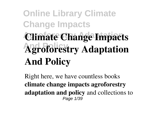# **Online Library Climate Change Impacts Climate Change Impacts Agroforestry Adaptation And Policy**

Right here, we have countless books **climate change impacts agroforestry adaptation and policy** and collections to Page 1/39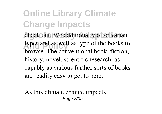check out. We additionally offer variant types and as well as type of the books to browse. The conventional book, fiction, history, novel, scientific research, as capably as various further sorts of books are readily easy to get to here.

As this climate change impacts Page 2/39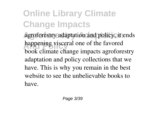**Agroforestry Adaptation** agroforestry adaptation and policy, it ends happening visceral one of the favored book climate change impacts agroforestry adaptation and policy collections that we have. This is why you remain in the best website to see the unbelievable books to have.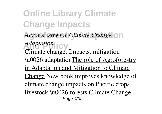**Agroforestry for Climate Change** on *Adaptation* 

Climate change: Impacts, mitigation \u0026 adaptationThe role of Agroforestry in Adaptation and Mitigation to Climate Change New book improves knowledge of climate change impacts on Pacific crops, livestock \u0026 forests Climate Change Page 4/39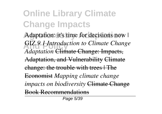Adaptation: it's time for decisions now | GIZ 9.1 Introduction to Climate Change *Adaptation* Climate Change: Impacts, Adaptation, and Vulnerability Climate change: the trouble with trees | The Economist *Mapping climate change impacts on biodiversity* Climate Change Book Recommendations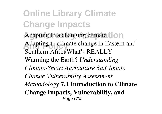**Online Library Climate Change Impacts** Adapting to a changing climate **to a** Adapting to climate change in Eastern and Southern Africa What's REALLY Warming the Earth? *Understanding Climate-Smart Agriculture 3a.Climate Change Vulnerability Assessment Methodology* **7.1 Introduction to Climate Change Impacts, Vulnerability, and** Page 6/39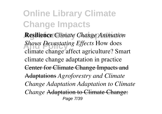**Agroforestry Adaptation Resilience** *Climate Change Animation* **And Policy** *Shows Devastating Effects* How does climate change affect agriculture? Smart climate change adaptation in practice Center for Climate Change Impacts and Adaptations *Agroforestry and Climate Change Adaptation Adaptation to Climate Change* Adaptation to Climate Change: Page 7/39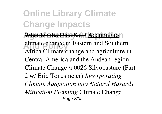What Do the Data Say? Adapting to **And Policy Climate change in Eastern and Southern** Africa Climate change and agriculture in Central America and the Andean region Climate Change \u0026 Silvopasture (Part 2 w/ Eric Tonesmeier) *Incorporating Climate Adaptation into Natural Hazards Mitigation Planning* Climate Change Page 8/39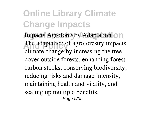**Agroforestry Adaptation** Impacts Agroforestry Adaptation The adaptation of agroforestry impacts climate change by increasing the tree cover outside forests, enhancing forest carbon stocks, conserving biodiversity, reducing risks and damage intensity, maintaining health and vitality, and scaling up multiple benefits. Page 9/39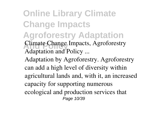**Online Library Climate Change Impacts Agroforestry Adaptation Climate Change Impacts, Agroforestry** Adaptation and Policy ...

Adaptation by Agroforestry. Agroforestry can add a high level of diversity within agricultural lands and, with it, an increased capacity for supporting numerous ecological and production services that Page 10/39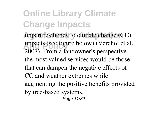impart resiliency to climate change (CC) impacts (see figure below) (Verchot et al. 2007). From a landowner's perspective, the most valued services would be those that can dampen the negative effects of CC and weather extremes while augmenting the positive benefits provided by tree-based systems. Page 11/39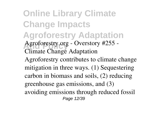**Online Library Climate Change Impacts Agroforestry Adaptation** Agroforestry.org - Overstory #255 -Climate Change Adaptation Agroforestry contributes to climate change mitigation in three ways. (1) Sequestering carbon in biomass and soils, (2) reducing greenhouse gas emissions, and (3) avoiding emissions through reduced fossil Page 12/39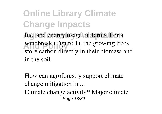fuel and energy usage on farms. For a windbreak (Figure 1), the growing trees store carbon directly in their biomass and in the soil.

How can agroforestry support climate change mitigation in ... Climate change activity\* Major climate Page 13/39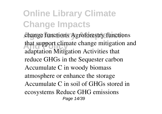change functions Agroforestry functions that support climate change mitigation and adaptation Mitigation Activities that reduce GHGs in the Sequester carbon Accumulate C in woody biomass atmosphere or enhance the storage Accumulate C in soil of GHGs stored in ecosystems Reduce GHG emissions Page 14/39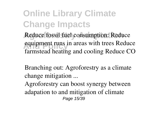Reduce fossil fuel consumption: Reduce equipment runs in areas with trees Reduce farmstead heating and cooling Reduce CO

Branching out: Agroforestry as a climate change mitigation ...

Agroforestry can boost synergy between adapation to and mitigation of climate Page 15/39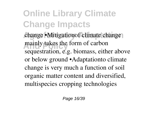change •Mitigationof climate change mainly takes the form of carbon sequestration, e.g. biomass, either above or below ground •Adaptationto climate change is very much a function of soil organic matter content and diversified, multispecies cropping technologies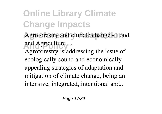- Agroforestry and climate change Food **And Policy** and Agriculture ...
- Agroforestry is addressing the issue of ecologically sound and economically appealing strategies of adaptation and mitigation of climate change, being an intensive, integrated, intentional and...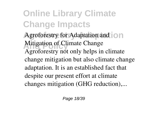Agroforestry for Adaptation and  $\overline{\circ}$  n Mitigation of Climate Change Agroforestry not only helps in climate change mitigation but also climate change adaptation. It is an established fact that despite our present effort at climate changes mitigation (GHG reduction),...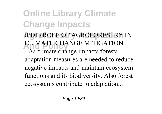- (PDF) ROLE OF AGROFORESTRY IN **CLIMATE CHANGE MITIGATION**
- As climate change impacts forests, adaptation measures are needed to reduce negative impacts and maintain ecosystem functions and its biodiversity. Also forest ecosystems contribute to adaptation...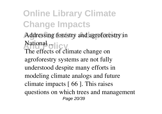**Online Library Climate Change Impacts** Addressing forestry and agroforestry in National **plicy** 

The effects of climate change on agroforestry systems are not fully understood despite many efforts in modeling climate analogs and future climate impacts [ 66 ]. This raises questions on which trees and management Page 20/39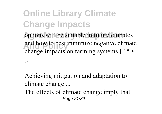options will be suitable in future climates and how to best minimize negative climate change impacts on farming systems [ 15 • ].

Achieving mitigation and adaptation to climate change ...

The effects of climate change imply that Page 21/39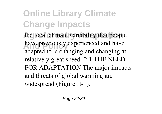the local climate variability that people have previously experienced and have adapted to is changing and changing at relatively great speed. 2.1 THE NEED FOR ADAPTATION The major impacts and threats of global warming are widespread (Figure II-1).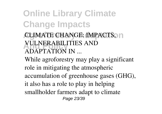**CLIMATE CHANGE: IMPACTS, n VULNERABILITIES AND** ADAPTATION IN ...

While agroforestry may play a significant role in mitigating the atmospheric accumulation of greenhouse gases (GHG), it also has a role to play in helping smallholder farmers adapt to climate Page 23/39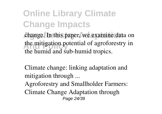**Online Library Climate Change Impacts** change. In this paper, we examine data on the mitigation potential of agroforestry in the humid and sub-humid tropics.

Climate change: linking adaptation and mitigation through ...

Agroforestry and Smallholder Farmers: Climate Change Adaptation through Page 24/39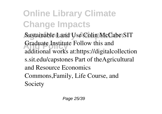**Sustainable Land Use Colin McCabe SIT** Graduate Institute Follow this and additional works at:https://digitalcollection s.sit.edu/capstones Part of theAgricultural and Resource Economics Commons,Family, Life Course, and Society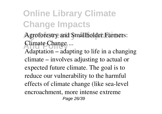- Agroforestry and Smallholder Farmers: Climate Change ...
- Adaptation adapting to life in a changing climate – involves adjusting to actual or expected future climate. The goal is to reduce our vulnerability to the harmful effects of climate change (like sea-level encroachment, more intense extreme Page 26/39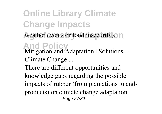**Online Library Climate Change Impacts** weather events or food insecurity). In **And Policy** Mitigation and Adaptation | Solutions – Climate Change ... There are different opportunities and knowledge gaps regarding the possible impacts of rubber (from plantations to endproducts) on climate change adaptation Page 27/39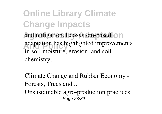**Online Library Climate Change Impacts** and mitigation. Ecosystem-based on **And Policy** adaptation has highlighted improvements in soil moisture, erosion, and soil chemistry.

Climate Change and Rubber Economy - Forests, Trees and ...

Unsustainable agro-production practices Page 28/39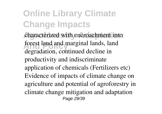characterized with encroachment into forest land and marginal lands, land degradation, continued decline in productivity and indiscriminate application of chemicals (Fertilizers etc) Evidence of impacts of climate change on agriculture and potential of agroforestry in climate change mitigation and adaptation Page 29/39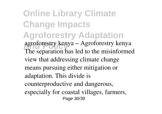**Online Library Climate Change Impacts Agroforestry Adaptation And Policy** agroforestry kenya – Agroforestry kenya The separation has led to the misinformed view that addressing climate change means pursuing either mitigation or adaptation. This divide is counterproductive and dangerous, especially for coastal villages, farmers, Page 30/39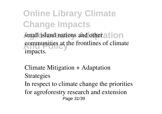**Online Library Climate Change Impacts** small island nations and other ation communities at the frontlines of climate impacts.

Climate Mitigation + Adaptation Strategies

In respect to climate change the priorities for agroforestry research and extension Page 31/39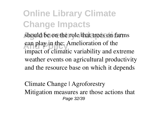should be on the role that trees on farms can play in the: Amelioration of the impact of climatic variability and extreme weather events on agricultural productivity and the resource base on which it depends

Climate Change | Agroforestry Mitigation measures are those actions that Page 32/39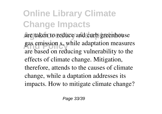are taken to reduce and curb greenhouse gas emission s, while adaptation measures are based on reducing vulnerability to the effects of climate change. Mitigation, therefore, attends to the causes of climate change, while a daptation addresses its impacts. How to mitigate climate change?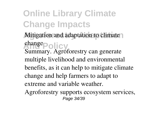**Online Library Climate Change Impacts** Mitigation and adaptation to climate change<sub>Policy</sub> Summary. Agroforestry can generate multiple livelihood and environmental benefits, as it can help to mitigate climate change and help farmers to adapt to

extreme and variable weather.

Agroforestry supports ecosystem services, Page 34/39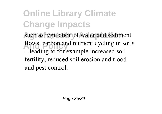such as regulation of water and sediment flows, carbon and nutrient cycling in soils – leading to for example increased soil fertility, reduced soil erosion and flood and pest control.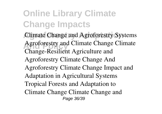**Climate Change and Agroforestry Systems** Agroforestry and Climate Change Climate Change-Resilient Agriculture and Agroforestry Climate Change And Agroforestry Climate Change Impact and Adaptation in Agricultural Systems Tropical Forests and Adaptation to Climate Change Climate Change and Page 36/39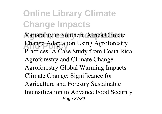Variability in Southern Africa Climate Change Adaptation Using Agroforestry Practices: A Case Study from Costa Rica Agroforestry and Climate Change Agroforestry Global Warming Impacts Climate Change: Significance for Agriculture and Forestry Sustainable Intensification to Advance Food Security Page 37/39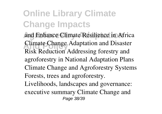and Enhance Climate Resilience in Africa Climate Change Adaptation and Disaster Risk Reduction Addressing forestry and agroforestry in National Adaptation Plans Climate Change and Agroforestry Systems Forests, trees and agroforestry. Livelihoods, landscapes and governance: executive summary Climate Change and Page 38/39